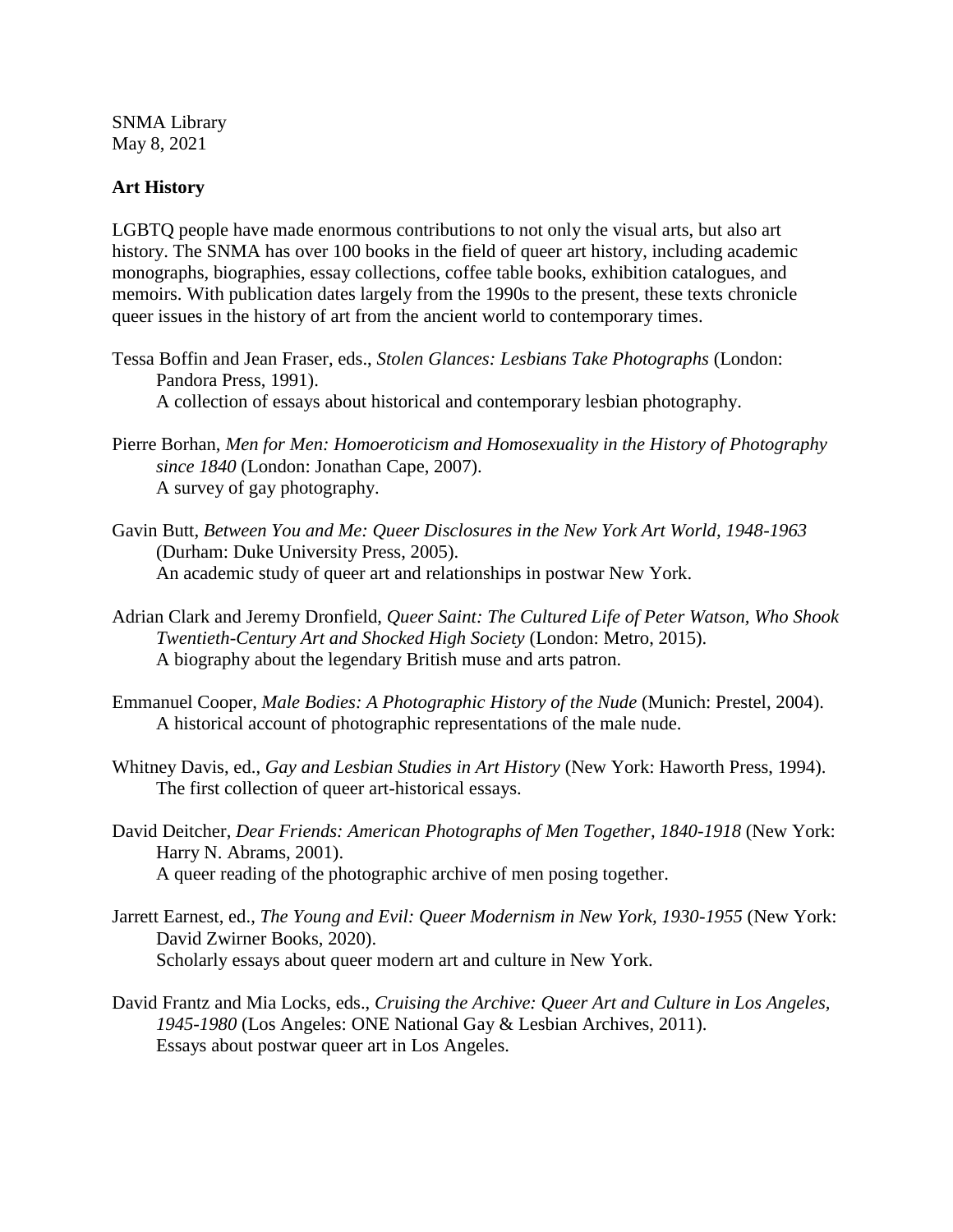SNMA Library May 8, 2021

## **Art History**

LGBTQ people have made enormous contributions to not only the visual arts, but also art history. The SNMA has over 100 books in the field of queer art history, including academic monographs, biographies, essay collections, coffee table books, exhibition catalogues, and memoirs. With publication dates largely from the 1990s to the present, these texts chronicle queer issues in the history of art from the ancient world to contemporary times.

- Tessa Boffin and Jean Fraser, eds., *Stolen Glances: Lesbians Take Photographs* (London: Pandora Press, 1991). A collection of essays about historical and contemporary lesbian photography.
- Pierre Borhan, *Men for Men: Homoeroticism and Homosexuality in the History of Photography since 1840* (London: Jonathan Cape, 2007). A survey of gay photography.
- Gavin Butt, *Between You and Me: Queer Disclosures in the New York Art World, 1948-1963*  (Durham: Duke University Press, 2005). An academic study of queer art and relationships in postwar New York.
- Adrian Clark and Jeremy Dronfield, *Queer Saint: The Cultured Life of Peter Watson, Who Shook Twentieth-Century Art and Shocked High Society* (London: Metro, 2015). A biography about the legendary British muse and arts patron.
- Emmanuel Cooper, *Male Bodies: A Photographic History of the Nude* (Munich: Prestel, 2004). A historical account of photographic representations of the male nude.
- Whitney Davis, ed., *Gay and Lesbian Studies in Art History* (New York: Haworth Press, 1994). The first collection of queer art-historical essays.
- David Deitcher, *Dear Friends: American Photographs of Men Together, 1840-1918* (New York: Harry N. Abrams, 2001). A queer reading of the photographic archive of men posing together.
- Jarrett Earnest, ed., *The Young and Evil: Queer Modernism in New York, 1930-1955* (New York: David Zwirner Books, 2020). Scholarly essays about queer modern art and culture in New York.
- David Frantz and Mia Locks, eds., *Cruising the Archive: Queer Art and Culture in Los Angeles, 1945-1980* (Los Angeles: ONE National Gay & Lesbian Archives, 2011). Essays about postwar queer art in Los Angeles.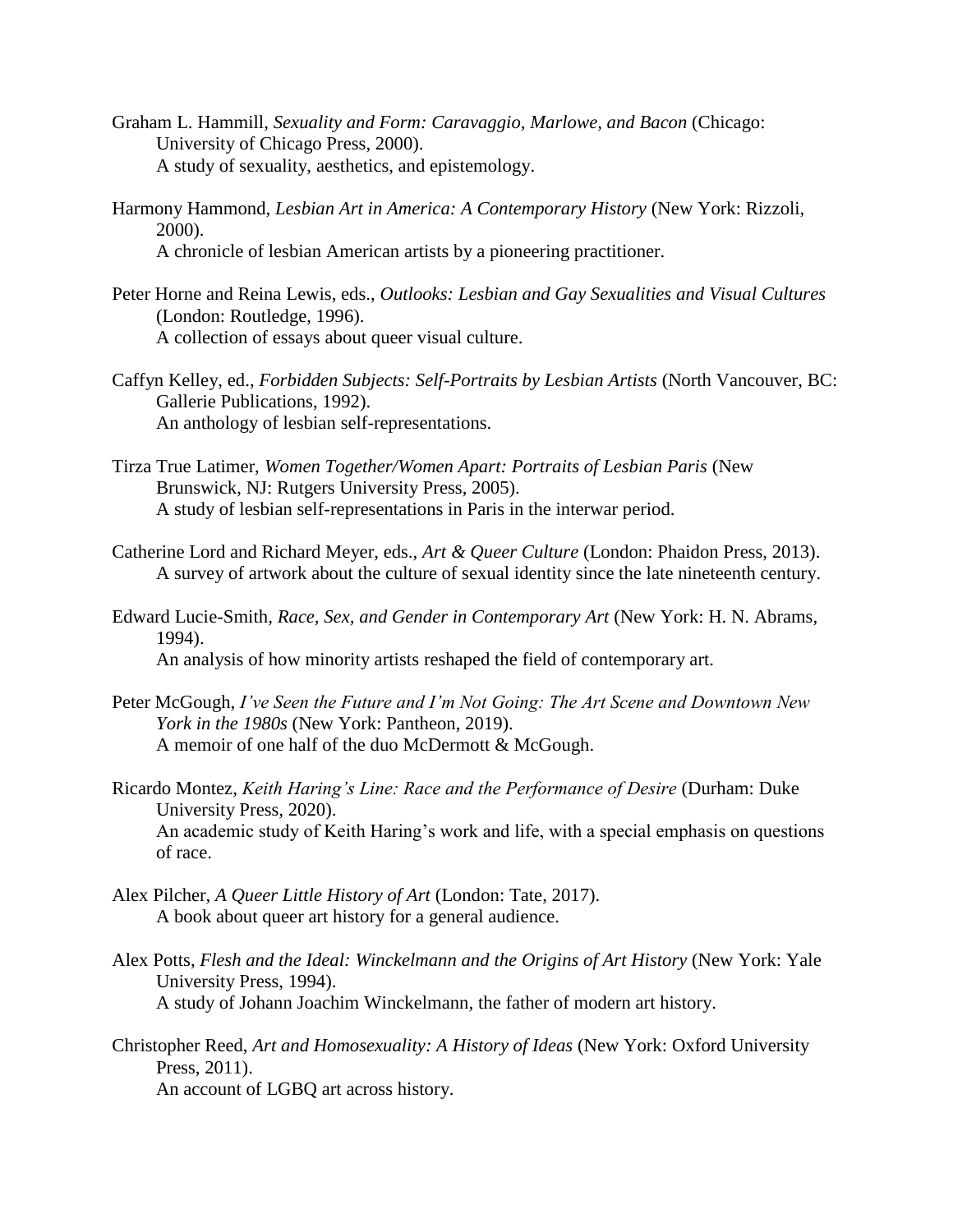- Graham L. Hammill, *Sexuality and Form: Caravaggio, Marlowe, and Bacon* (Chicago: University of Chicago Press, 2000). A study of sexuality, aesthetics, and epistemology.
- Harmony Hammond, *Lesbian Art in America: A Contemporary History* (New York: Rizzoli, 2000).

A chronicle of lesbian American artists by a pioneering practitioner.

- Peter Horne and Reina Lewis, eds., *Outlooks: Lesbian and Gay Sexualities and Visual Cultures*  (London: Routledge, 1996). A collection of essays about queer visual culture.
- Caffyn Kelley, ed., *Forbidden Subjects: Self-Portraits by Lesbian Artists* (North Vancouver, BC: Gallerie Publications, 1992). An anthology of lesbian self-representations.
- Tirza True Latimer, *Women Together/Women Apart: Portraits of Lesbian Paris* (New Brunswick, NJ: Rutgers University Press, 2005). A study of lesbian self-representations in Paris in the interwar period.
- Catherine Lord and Richard Meyer, eds., *Art & Queer Culture* (London: Phaidon Press, 2013). A survey of artwork about the culture of sexual identity since the late nineteenth century.
- Edward Lucie-Smith, *Race, Sex, and Gender in Contemporary Art* (New York: H. N. Abrams, 1994). An analysis of how minority artists reshaped the field of contemporary art.
- Peter McGough, *I've Seen the Future and I'm Not Going: The Art Scene and Downtown New York in the 1980s* (New York: Pantheon, 2019). A memoir of one half of the duo McDermott & McGough.
- Ricardo Montez, *Keith Haring's Line: Race and the Performance of Desire* (Durham: Duke University Press, 2020). An academic study of Keith Haring's work and life, with a special emphasis on questions of race.
- Alex Pilcher, *A Queer Little History of Art* (London: Tate, 2017). A book about queer art history for a general audience.
- Alex Potts, *Flesh and the Ideal: Winckelmann and the Origins of Art History* (New York: Yale University Press, 1994). A study of Johann Joachim Winckelmann, the father of modern art history.
- Christopher Reed, *Art and Homosexuality: A History of Ideas* (New York: Oxford University Press, 2011).

An account of LGBQ art across history.